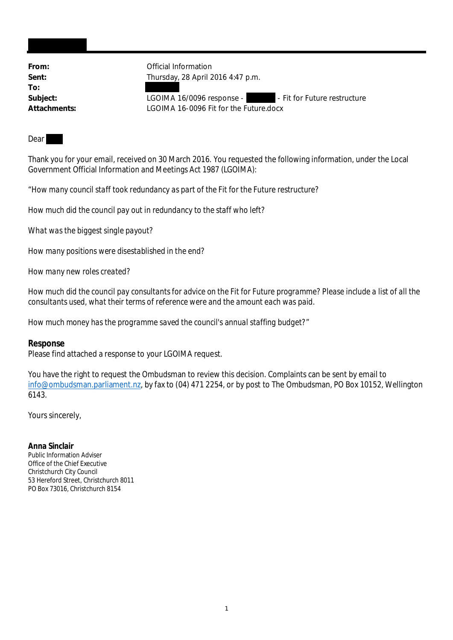**To:**

From: **From:** Official Information **Sent:** Thursday, 28 April 2016 4:47 p.m.

Subject: LGOIMA 16/0096 response - The Fit for Future restructure **Attachments:** LGOIMA 16-0096 Fit for the Future.docx

**Dear** 

Thank you for your email, received on 30 March 2016. You requested the following information, under the Local Government Official Information and Meetings Act 1987 (LGOIMA):

"*How many council staff took redundancy as part of the Fit for the Future restructure?*

*How much did the council pay out in redundancy to the staff who left?*

*What was the biggest single payout?*

*How many positions were disestablished in the end?*

*How many new roles created?*

*How much did the council pay consultants for advice on the Fit for Future programme? Please include a list of all the consultants used, what their terms of reference were and the amount each was paid.*

*How much money has the programme saved the council's annual staffing budget?*"

**Response** Please find attached a response to your LGOIMA request.

You have the right to request the Ombudsman to review this decision. Complaints can be sent by email to info@ombudsman.parliament.nz, by fax to (04) 471 2254, or by post to The Ombudsman, PO Box 10152, Wellington 6143.

Yours sincerely,

**Anna Sinclair** Public Information Adviser Office of the Chief Executive Christchurch City Council 53 Hereford Street, Christchurch 8011 PO Box 73016, Christchurch 8154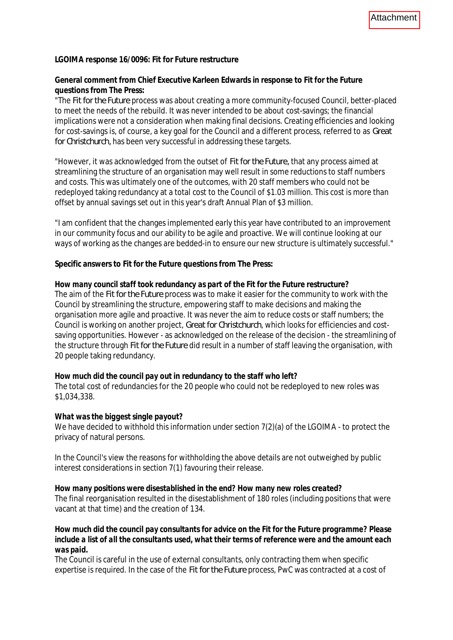**LGOIMA response 16/0096: Fit for Future restructure**

**General comment from Chief Executive Karleen Edwards in response to** *Fit for the Future* **questions from The Press:**

"The *Fit for the Future* process was about creating a more community-focused Council, better-placed to meet the needs of the rebuild. It was never intended to be about cost-savings; the financial implications were not a consideration when making final decisions. Creating efficiencies and looking for cost-savings is, of course, a key goal for the Council and a different process, referred to as *Great for Christchurch,* has been very successful in addressing these targets.

"However, it was acknowledged from the outset of *Fit for the Future,* that any process aimed at streamlining the structure of an organisation may well result in some reductions to staff numbers and costs. This was ultimately one of the outcomes, with 20 staff members who could not be redeployed taking redundancy at a total cost to the Council of \$1.03 million. This cost is more than offset by annual savings set out in this year's draft Annual Plan of \$3 million.

"I am confident that the changes implemented early this year have contributed to an improvement in our community focus and our ability to be agile and proactive. We will continue looking at our ways of working as the changes are bedded-in to ensure our new structure is ultimately successful."

**Specific answers to** *Fit for the Future* **questions from The Press:**

## *How many council staff took redundancy as part of the Fit for the Future restructure?*

The aim of the *Fit for the Future* process was to make it easier for the community to work with the Council by streamlining the structure, empowering staff to make decisions and making the organisation more agile and proactive. It was never the aim to reduce costs or staff numbers; the Council is working on another project, *Great for Christchurch*, which looks for efficiencies and costsaving opportunities. However - as acknowledged on the release of the decision - the streamlining of the structure through *Fit for the Future* did result in a number of staff leaving the organisation, with 20 people taking redundancy.

*How much did the council pay out in redundancy to the staff who left?* The total cost of redundancies for the 20 people who could not be redeployed to new roles was \$1,034,338.

## *What was the biggest single payout?*

We have decided to withhold this information under section 7(2)(a) of the LGOIMA - to protect the privacy of natural persons.

In the Council's view the reasons for withholding the above details are not outweighed by public interest considerations in section 7(1) favouring their release.

*How many positions were disestablished in the end? How many new roles created?* The final reorganisation resulted in the disestablishment of 180 roles (including positions that were vacant at that time) and the creation of 134.

*How much did the council pay consultants for advice on the Fit for the Future programme? Please include a list of all the consultants used, what their terms of reference were and the amount each was paid.*

The Council is careful in the use of external consultants, only contracting them when specific expertise is required. In the case of the *Fit for the Future* process, PwC was contracted at a cost of